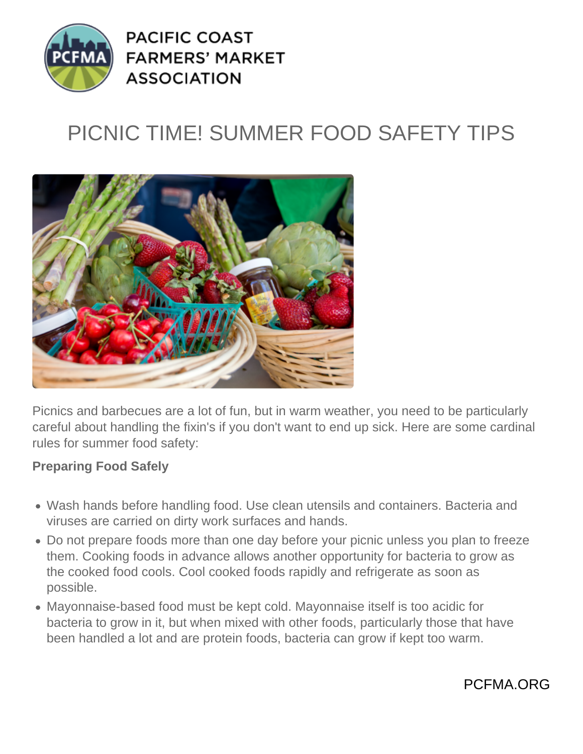

**PACIFIC COAST FARMERS' MARKET ASSOCIATION** 

# PICNIC TIME! SUMMER FOOD SAFETY TIPS



Picnics and barbecues are a lot of fun, but in warm weather, you need to be particularly careful about handling the fixin's if you don't want to end up sick. Here are some cardinal rules for summer food safety:

#### **Preparing Food Safely**

- Wash hands before handling food. Use clean utensils and containers. Bacteria and viruses are carried on dirty work surfaces and hands.
- Do not prepare foods more than one day before your picnic unless you plan to freeze them. Cooking foods in advance allows another opportunity for bacteria to grow as the cooked food cools. Cool cooked foods rapidly and refrigerate as soon as possible.
- Mayonnaise-based food must be kept cold. Mayonnaise itself is too acidic for bacteria to grow in it, but when mixed with other foods, particularly those that have been handled a lot and are protein foods, bacteria can grow if kept too warm.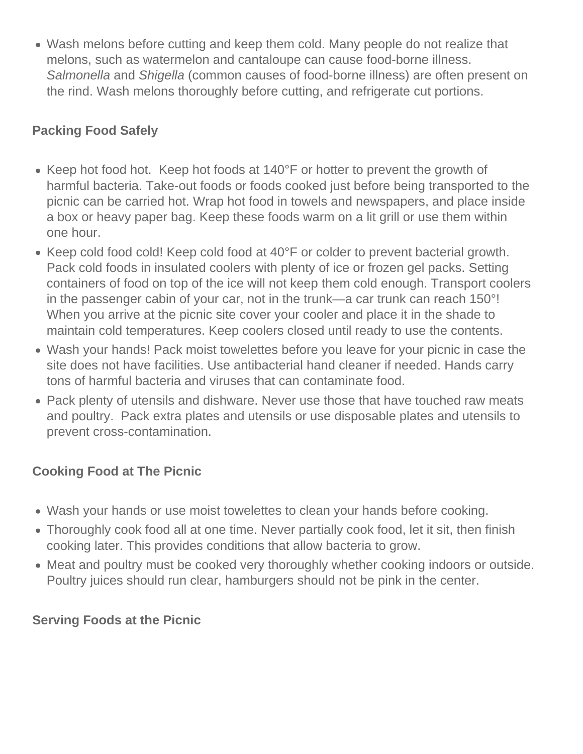Wash melons before cutting and keep them cold. Many people do not realize that melons, such as watermelon and cantaloupe can cause food-borne illness. Salmonella and Shigella (common causes of food-borne illness) are often present on the rind. Wash melons thoroughly before cutting, and refrigerate cut portions.

## **Packing Food Safely**

- Keep hot food hot. Keep hot foods at 140°F or hotter to prevent the growth of harmful bacteria. Take-out foods or foods cooked just before being transported to the picnic can be carried hot. Wrap hot food in towels and newspapers, and place inside a box or heavy paper bag. Keep these foods warm on a lit grill or use them within one hour.
- Keep cold food cold! Keep cold food at 40°F or colder to prevent bacterial growth. Pack cold foods in insulated coolers with plenty of ice or frozen gel packs. Setting containers of food on top of the ice will not keep them cold enough. Transport coolers in the passenger cabin of your car, not in the trunk—a car trunk can reach 150°! When you arrive at the picnic site cover your cooler and place it in the shade to maintain cold temperatures. Keep coolers closed until ready to use the contents.
- Wash your hands! Pack moist towelettes before you leave for your picnic in case the site does not have facilities. Use antibacterial hand cleaner if needed. Hands carry tons of harmful bacteria and viruses that can contaminate food.
- Pack plenty of utensils and dishware. Never use those that have touched raw meats and poultry. Pack extra plates and utensils or use disposable plates and utensils to prevent cross-contamination.

### **Cooking Food at The Picnic**

- Wash your hands or use moist towelettes to clean your hands before cooking.
- Thoroughly cook food all at one time. Never partially cook food, let it sit, then finish cooking later. This provides conditions that allow bacteria to grow.
- Meat and poultry must be cooked very thoroughly whether cooking indoors or outside. Poultry juices should run clear, hamburgers should not be pink in the center.

### **Serving Foods at the Picnic**